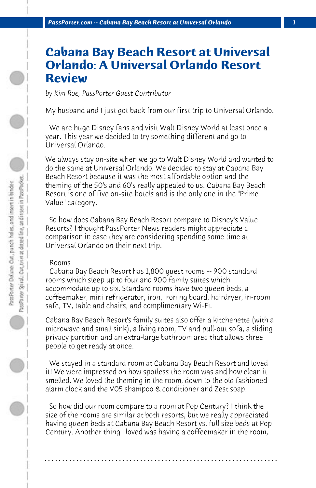# **Cabana Bay Beach Resort at Universal Orlando: A Universal Orlando Resort Review**

*by Kim Roe, PassPorter Guest Contributor*

My husband and I just got back from our first trip to Universal Orlando.

 We are huge Disney fans and visit Walt Disney World at least once a year. This year we decided to try something different and go to Universal Orlando.

We always stay on-site when we go to Walt Disney World and wanted to do the same at Universal Orlando. We decided to stay at Cabana Bay Beach Resort because it was the most affordable option and the theming of the 50's and 60's really appealed to us. Cabana Bay Beach Resort is one of five on-site hotels and is the only one in the "Prime Value" category.

 So how does Cabana Bay Beach Resort compare to Disney's Value Resorts? I thought PassPorter News readers might appreciate a comparison in case they are considering spending some time at Universal Orlando on their next trip.

# Rooms

 Cabana Bay Beach Resort has 1,800 guest rooms -- 900 standard rooms which sleep up to four and 900 family suites which accommodate up to six. Standard rooms have two queen beds, a coffeemaker, mini refrigerator, iron, ironing board, hairdryer, in-room safe, TV, table and chairs, and complimentary Wi-Fi.

Cabana Bay Beach Resort's family suites also offer a kitchenette (with a microwave and small sink), a living room, TV and pull-out sofa, a sliding privacy partition and an extra-large bathroom area that allows three people to get ready at once.

 We stayed in a standard room at Cabana Bay Beach Resort and loved it! We were impressed on how spotless the room was and how clean it smelled. We loved the theming in the room, down to the old fashioned alarm clock and the V05 shampoo & conditioner and Zest soap.

 So how did our room compare to a room at Pop Century? I think the size of the rooms are similar at both resorts, but we really appreciated having queen beds at Cabana Bay Beach Resort vs. full size beds at Pop Century. Another thing I loved was having a coffeemaker in the room,

**. . . . . . . . . . . . . . . . . . . . . . . . . . . . . . . . . . . . . . . . . . . . . . . . . . . . . . . . . . . . . . . . . .**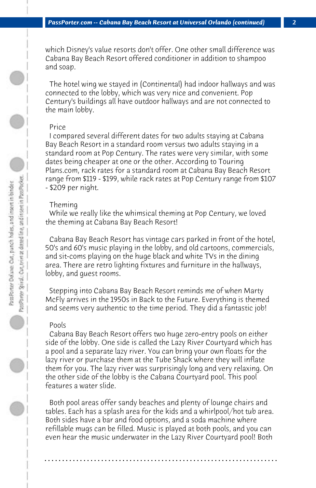which Disney's value resorts don't offer. One other small difference was Cabana Bay Beach Resort offered conditioner in addition to shampoo and soap.

 The hotel wing we stayed in (Continental) had indoor hallways and was connected to the lobby, which was very nice and convenient. Pop Century's buildings all have outdoor hallways and are not connected to the main lobby.

## Price

 I compared several different dates for two adults staying at Cabana Bay Beach Resort in a standard room versus two adults staying in a standard room at Pop Century. The rates were very similar, with some dates being cheaper at one or the other. According to Touring Plans.com, rack rates for a standard room at Cabana Bay Beach Resort range from \$119 - \$199, while rack rates at Pop Century range from \$107 - \$209 per night.

#### Theming

 While we really like the whimsical theming at Pop Century, we loved the theming at Cabana Bay Beach Resort!

 Cabana Bay Beach Resort has vintage cars parked in front of the hotel, 50's and 60's music playing in the lobby, and old cartoons, commercials, and sit-coms playing on the huge black and white TVs in the dining area. There are retro lighting fixtures and furniture in the hallways, lobby, and guest rooms.

 Stepping into Cabana Bay Beach Resort reminds me of when Marty McFly arrives in the 1950s in Back to the Future. Everything is themed and seems very authentic to the time period. They did a fantastic job!

#### Pools

 Cabana Bay Beach Resort offers two huge zero-entry pools on either side of the lobby. One side is called the Lazy River Courtyard which has a pool and a separate lazy river. You can bring your own floats for the lazy river or purchase them at the Tube Shack where they will inflate them for you. The lazy river was surprisingly long and very relaxing. On the other side of the lobby is the Cabana Courtyard pool. This pool features a water slide.

 Both pool areas offer sandy beaches and plenty of lounge chairs and tables. Each has a splash area for the kids and a whirlpool/hot tub area. Both sides have a bar and food options, and a soda machine where refillable mugs can be filled. Music is played at both pools, and you can even hear the music underwater in the Lazy River Courtyard pool! Both

**. . . . . . . . . . . . . . . . . . . . . . . . . . . . . . . . . . . . . . . . . . . . . . . . . . . . . . . . . . . . . . . . . .**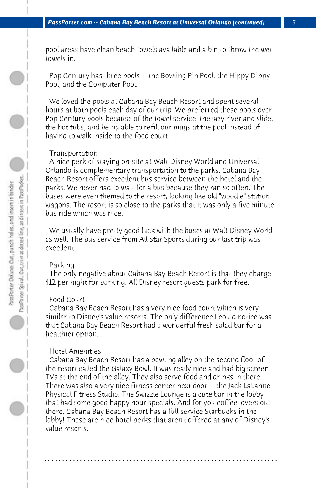pool areas have clean beach towels available and a bin to throw the wet towels in.

 Pop Century has three pools -- the Bowling Pin Pool, the Hippy Dippy Pool, and the Computer Pool.

 We loved the pools at Cabana Bay Beach Resort and spent several hours at both pools each day of our trip. We preferred these pools over Pop Century pools because of the towel service, the lazy river and slide, the hot tubs, and being able to refill our mugs at the pool instead of having to walk inside to the food court.

## Transportation

 A nice perk of staying on-site at Walt Disney World and Universal Orlando is complementary transportation to the parks. Cabana Bay Beach Resort offers excellent bus service between the hotel and the parks. We never had to wait for a bus because they ran so often. The buses were even themed to the resort, looking like old "woodie" station wagons. The resort is so close to the parks that it was only a five minute bus ride which was nice.

 We usually have pretty good luck with the buses at Walt Disney World as well. The bus service from All Star Sports during our last trip was excellent.

#### Parking

 The only negative about Cabana Bay Beach Resort is that they charge \$12 per night for parking. All Disney resort guests park for free.

## Food Court

 Cabana Bay Beach Resort has a very nice food court which is very similar to Disney's value resorts. The only difference I could notice was that Cabana Bay Beach Resort had a wonderful fresh salad bar for a healthier option.

## Hotel Amenities

 Cabana Bay Beach Resort has a bowling alley on the second floor of the resort called the Galaxy Bowl. It was really nice and had big screen TVs at the end of the alley. They also serve food and drinks in there. There was also a very nice fitness center next door -- the Jack LaLanne Physical Fitness Studio. The Swizzle Lounge is a cute bar in the lobby that had some good happy hour specials. And for you coffee lovers out there, Cabana Bay Beach Resort has a full service Starbucks in the lobby! These are nice hotel perks that aren't offered at any of Disney's value resorts.

**. . . . . . . . . . . . . . . . . . . . . . . . . . . . . . . . . . . . . . . . . . . . . . . . . . . . . . . . . . . . . . . . . .**